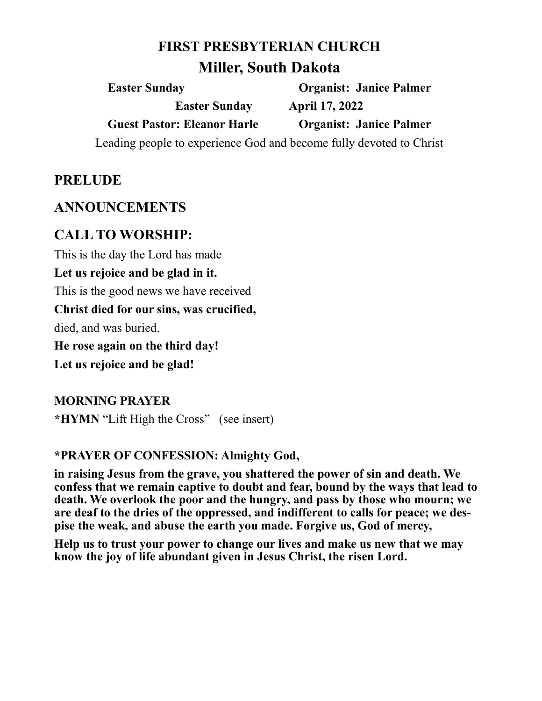## **FIRST PRESBYTERIAN CHURCH**

# **Miller, South Dakota**

**Easter Sunday Organist: Janice Palmer Easter Sunday April 17, 2022 Guest Pastor: Eleanor Harle Organist: Janice Palmer**

Leading people to experience God and become fully devoted to Christ

## **PRELUDE**

#### **ANNOUNCEMENTS**

# **CALL TO WORSHIP:**

This is the day the Lord has made

**Let us rejoice and be glad in it.**

This is the good news we have received

**Christ died for our sins, was crucified,** 

died, and was buried.

**He rose again on the third day!**

**Let us rejoice and be glad!**

#### **MORNING PRAYER**

**\*HYMN** "Lift High the Cross" (see insert)

#### **\*PRAYER OF CONFESSION: Almighty God,**

**in raising Jesus from the grave, you shattered the power of sin and death. We confess that we remain captive to doubt and fear, bound by the ways that lead to death. We overlook the poor and the hungry, and pass by those who mourn; we are deaf to the dries of the oppressed, and indifferent to calls for peace; we despise the weak, and abuse the earth you made. Forgive us, God of mercy,**

**Help us to trust your power to change our lives and make us new that we may know the joy of life abundant given in Jesus Christ, the risen Lord.**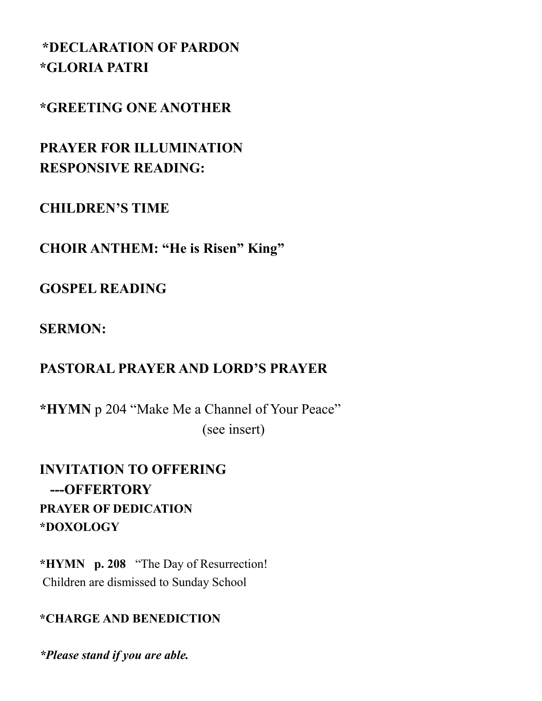# **\*DECLARATION OF PARDON \*GLORIA PATRI**

# **\*GREETING ONE ANOTHER**

**PRAYER FOR ILLUMINATION RESPONSIVE READING:**

# **CHILDREN'S TIME**

**CHOIR ANTHEM: "He is Risen" King"**

# **GOSPEL READING**

# **SERMON:**

# **PASTORAL PRAYER AND LORD'S PRAYER**

**\*HYMN** p 204 "Make Me a Channel of Your Peace" (see insert)

**INVITATION TO OFFERING ---OFFERTORY PRAYER OF DEDICATION \*DOXOLOGY**

**\*HYMN p. 208** "The Day of Resurrection! Children are dismissed to Sunday School

#### **\*CHARGE AND BENEDICTION**

*\*Please stand if you are able.*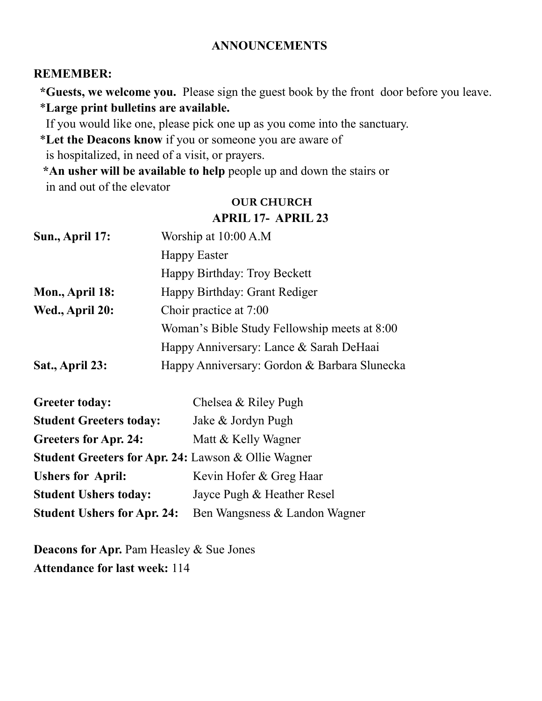#### **ANNOUNCEMENTS**

#### **REMEMBER:**

 **\*Guests, we welcome you.** Please sign the guest book by the front door before you leave. \***Large print bulletins are available.** 

If you would like one, please pick one up as you come into the sanctuary.

\***Let the Deacons know** if you or someone you are aware of

is hospitalized, in need of a visit, or prayers.

 **\*An usher will be available to help** people up and down the stairs or in and out of the elevator

#### **OUR CHURCH APRIL 17- APRIL 23**

| Sun., April 17: | Worship at 10:00 A.M                         |  |
|-----------------|----------------------------------------------|--|
|                 | <b>Happy Easter</b>                          |  |
|                 | Happy Birthday: Troy Beckett                 |  |
| Mon., April 18: | Happy Birthday: Grant Rediger                |  |
| Wed., April 20: | Choir practice at 7:00                       |  |
|                 | Woman's Bible Study Fellowship meets at 8:00 |  |
|                 | Happy Anniversary: Lance & Sarah DeHaai      |  |
| Sat., April 23: | Happy Anniversary: Gordon & Barbara Slunecka |  |

| <b>Greeter today:</b>                                          | Chelsea & Riley Pugh          |  |  |
|----------------------------------------------------------------|-------------------------------|--|--|
| <b>Student Greeters today:</b>                                 | Jake & Jordyn Pugh            |  |  |
| <b>Greeters for Apr. 24:</b>                                   | Matt & Kelly Wagner           |  |  |
| <b>Student Greeters for Apr. 24: Lawson &amp; Ollie Wagner</b> |                               |  |  |
| <b>Ushers for April:</b>                                       | Kevin Hofer & Greg Haar       |  |  |
| <b>Student Ushers today:</b>                                   | Jayce Pugh & Heather Resel    |  |  |
| <b>Student Ushers for Apr. 24:</b>                             | Ben Wangsness & Landon Wagner |  |  |

**Deacons for Apr.** Pam Heasley & Sue Jones **Attendance for last week:** 114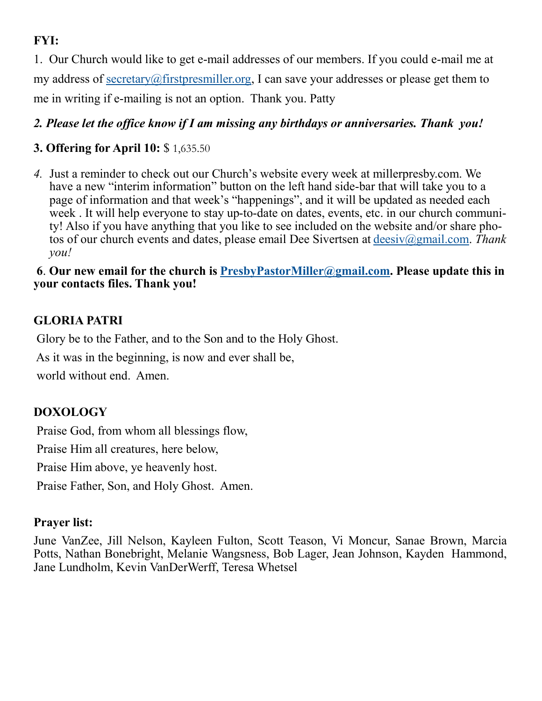# **FYI:**

1. Our Church would like to get e-mail addresses of our members. If you could e-mail me at my address of [secretary@firstpresmiller.org,](mailto:secretary@firstpresmiller.org) I can save your addresses or please get them to me in writing if e-mailing is not an option. Thank you. Patty

#### *2. Please let the office know if I am missing any birthdays or anniversaries. Thank you!*

### **3. Offering for April 10:** \$ 1,635.50

*4.* Just a reminder to check out our Church's website every week at millerpresby.com. We have a new "interim information" button on the left hand side-bar that will take you to a page of information and that week's "happenings", and it will be updated as needed each week . It will help everyone to stay up-to-date on dates, events, etc. in our church community! Also if you have anything that you like to see included on the website and/or share photos of our church events and dates, please email Dee Sivertsen at [deesiv@gmail.com.](mailto:deesiv@gmail.com) *Thank you!*

#### **6**. **Our new email for the church is [PresbyPastorMiller@gmail.com.](mailto:PresbyPastorMiller@gmail.com) Please update this in your contacts files. Thank you!**

# **GLORIA PATRI**

Glory be to the Father, and to the Son and to the Holy Ghost.

As it was in the beginning, is now and ever shall be,

world without end. Amen.

### **DOXOLOGY**

Praise God, from whom all blessings flow,

Praise Him all creatures, here below,

Praise Him above, ye heavenly host.

Praise Father, Son, and Holy Ghost. Amen.

#### **Prayer list:**

June VanZee, Jill Nelson, Kayleen Fulton, Scott Teason, Vi Moncur, Sanae Brown, Marcia Potts, Nathan Bonebright, Melanie Wangsness, Bob Lager, Jean Johnson, Kayden Hammond, Jane Lundholm, Kevin VanDerWerff, Teresa Whetsel